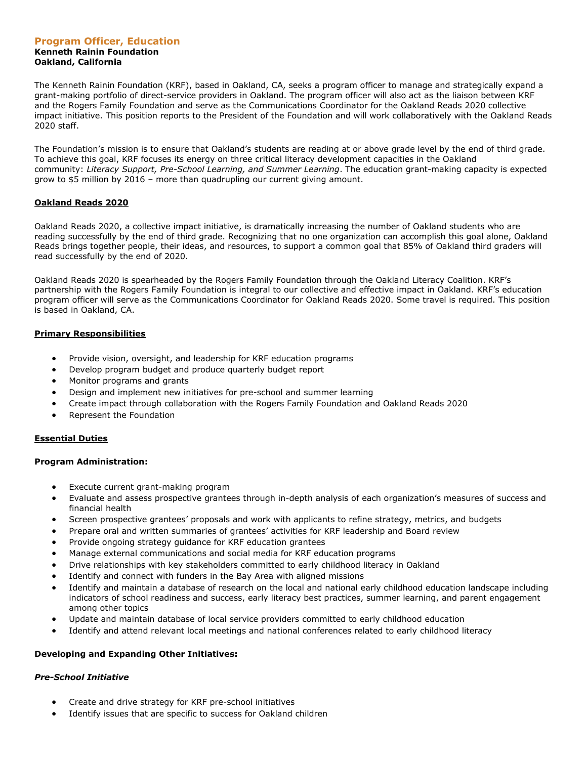#### **Program Officer, Education Kenneth Rainin Foundation Oakland, California**

The Kenneth Rainin Foundation (KRF), based in Oakland, CA, seeks a program officer to manage and strategically expand a grant-making portfolio of direct-service providers in Oakland. The program officer will also act as the liaison between KRF and the Rogers Family Foundation and serve as the Communications Coordinator for the Oakland Reads 2020 collective impact initiative. This position reports to the President of the Foundation and will work collaboratively with the Oakland Reads 2020 staff.

The Foundation's mission is to ensure that Oakland's students are reading at or above grade level by the end of third grade. To achieve this goal, KRF focuses its energy on three critical literacy development capacities in the Oakland community: *Literacy Support, Pre-School Learning, and Summer Learning*. The education grant-making capacity is expected grow to \$5 million by 2016 – more than quadrupling our current giving amount.

## **Oakland Reads 2020**

Oakland Reads 2020, a collective impact initiative, is dramatically increasing the number of Oakland students who are reading successfully by the end of third grade. Recognizing that no one organization can accomplish this goal alone, Oakland Reads brings together people, their ideas, and resources, to support a common goal that 85% of Oakland third graders will read successfully by the end of 2020.

Oakland Reads 2020 is spearheaded by the Rogers Family Foundation through the Oakland Literacy Coalition. KRF's partnership with the Rogers Family Foundation is integral to our collective and effective impact in Oakland. KRF's education program officer will serve as the Communications Coordinator for Oakland Reads 2020. Some travel is required. This position is based in Oakland, CA.

## **Primary Responsibilities**

- Provide vision, oversight, and leadership for KRF education programs
- Develop program budget and produce quarterly budget report
- Monitor programs and grants
- Design and implement new initiatives for pre-school and summer learning
- Create impact through collaboration with the Rogers Family Foundation and Oakland Reads 2020
- Represent the Foundation

### **Essential Duties**

### **Program Administration:**

- Execute current grant-making program
- Evaluate and assess prospective grantees through in-depth analysis of each organization's measures of success and financial health
- Screen prospective grantees' proposals and work with applicants to refine strategy, metrics, and budgets
- Prepare oral and written summaries of grantees' activities for KRF leadership and Board review
- Provide ongoing strategy guidance for KRF education grantees
- Manage external communications and social media for KRF education programs
- Drive relationships with key stakeholders committed to early childhood literacy in Oakland
- Identify and connect with funders in the Bay Area with aligned missions
- Identify and maintain a database of research on the local and national early childhood education landscape including indicators of school readiness and success, early literacy best practices, summer learning, and parent engagement among other topics
- Update and maintain database of local service providers committed to early childhood education
- Identify and attend relevant local meetings and national conferences related to early childhood literacy

# **Developing and Expanding Other Initiatives:**

### *Pre-School Initiative*

- Create and drive strategy for KRF pre-school initiatives
- Identify issues that are specific to success for Oakland children